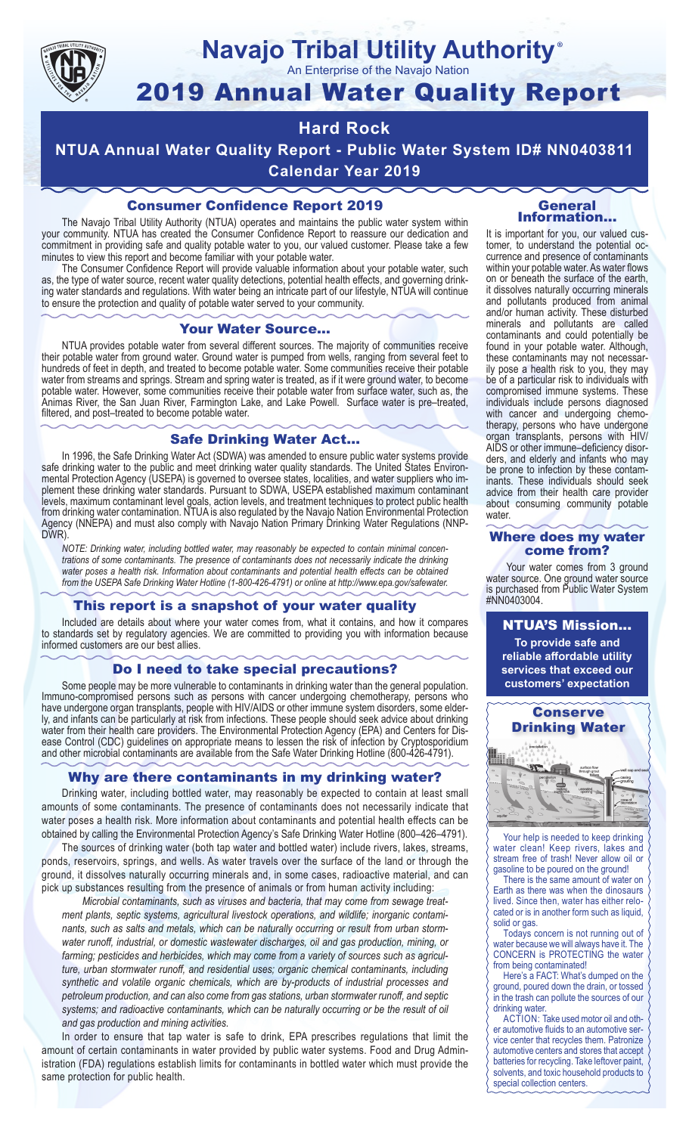

### **Navajo Tribal Utility Authority** ®

An Enterprise of the Navajo Nation

# 2019 Annual Water Quality Report

# **Hard Rock**

**NTUA Annual Water Quality Report - Public Water System ID# NN0403811 Calendar Year 2019**

## Consumer Confidence Report 2019

The Navajo Tribal Utility Authority (NTUA) operates and maintains the public water system within your community. NTUA has created the Consumer Confidence Report to reassure our dedication and commitment in providing safe and quality potable water to you, our valued customer. Please take a few minutes to view this report and become familiar with your potable water.

The Consumer Confidence Report will provide valuable information about your potable water, such as, the type of water source, recent water quality detections, potential health effects, and governing drinking water standards and regulations. With water being an intricate part of our lifestyle, NTUA will continue to ensure the protection and quality of potable water served to your community.

#### Your Water Source…

NTUA provides potable water from several different sources. The majority of communities receive their potable water from ground water. Ground water is pumped from wells, ranging from several feet to hundreds of feet in depth, and treated to become potable water. Some communities receive their potable water from streams and springs. Stream and spring water is treated, as if it were ground water, to become potable water. However, some communities receive their potable water from surface water, such as, the Animas River, the San Juan River, Farmington Lake, and Lake Powell. Surface water is pre–treated, filtered, and post–treated to become potable water.

#### Safe Drinking Water Act…

In 1996, the Safe Drinking Water Act (SDWA) was amended to ensure public water systems provide safe drinking water to the public and meet drinking water quality standards. The United States Environmental Protection Agency (USEPA) is governed to oversee states, localities, and water suppliers who implement these drinking water standards. Pursuant to SDWA, USEPA established maximum contaminant levels, maximum contaminant level goals, action levels, and treatment techniques to protect public health from drinking water contamination. NTUA is also regulated by the Navajo Nation Environmental Protection Agency (NNEPA) and must also comply with Navajo Nation Primary Drinking Water Regulations (NNP-DWR)

*NOTE: Drinking water, including bottled water, may reasonably be expected to contain minimal concentrations of some contaminants. The presence of contaminants does not necessarily indicate the drinking water poses a health risk. Information about contaminants and potential health effects can be obtained from the USEPA Safe Drinking Water Hotline (1-800-426-4791) or online at http://www.epa.gov/safewater.*

#### This report is a snapshot of your water quality

Included are details about where your water comes from, what it contains, and how it compares to standards set by regulatory agencies. We are committed to providing you with information because informed customers are our best allies.

#### Do I need to take special precautions?

Some people may be more vulnerable to contaminants in drinking water than the general population. Immuno-compromised persons such as persons with cancer undergoing chemotherapy, persons who have undergone organ transplants, people with HIV/AIDS or other immune system disorders, some elderly, and infants can be particularly at risk from infections. These people should seek advice about drinking water from their health care providers. The Environmental Protection Agency (EPA) and Centers for Disease Control (CDC) guidelines on appropriate means to lessen the risk of infection by Cryptosporidium and other microbial contaminants are available from the Safe Water Drinking Hotline (800-426-4791).

#### Why are there contaminants in my drinking water?

Drinking water, including bottled water, may reasonably be expected to contain at least small amounts of some contaminants. The presence of contaminants does not necessarily indicate that water poses a health risk. More information about contaminants and potential health effects can be obtained by calling the Environmental Protection Agency's Safe Drinking Water Hotline (800–426–4791).

The sources of drinking water (both tap water and bottled water) include rivers, lakes, streams, ponds, reservoirs, springs, and wells. As water travels over the surface of the land or through the ground, it dissolves naturally occurring minerals and, in some cases, radioactive material, and can pick up substances resulting from the presence of animals or from human activity including:

*Microbial contaminants, such as viruses and bacteria, that may come from sewage treatment plants, septic systems, agricultural livestock operations, and wildlife; inorganic contaminants, such as salts and metals, which can be naturally occurring or result from urban stormwater runoff, industrial, or domestic wastewater discharges, oil and gas production, mining, or farming; pesticides and herbicides, which may come from a variety of sources such as agriculture, urban stormwater runoff, and residential uses; organic chemical contaminants, including synthetic and volatile organic chemicals, which are by-products of industrial processes and petroleum production, and can also come from gas stations, urban stormwater runoff, and septic systems; and radioactive contaminants, which can be naturally occurring or be the result of oil and gas production and mining activities.*

In order to ensure that tap water is safe to drink, EPA prescribes regulations that limit the amount of certain contaminants in water provided by public water systems. Food and Drug Administration (FDA) regulations establish limits for contaminants in bottled water which must provide the same protection for public health.

#### General Information…

It is important for you, our valued customer, to understand the potential occurrence and presence of contaminants within your potable water. As water flows on or beneath the surface of the earth, it dissolves naturally occurring minerals and pollutants produced from animal and/or human activity. These disturbed minerals and pollutants are called contaminants and could potentially be found in your potable water. Although, these contaminants may not necessarily pose a health risk to you, they may be of a particular risk to individuals with compromised immune systems. These individuals include persons diagnosed with cancer and undergoing chemo-<br>therapy, persons who have undergone organ transplants, persons with HIV/ AIDS or other immune–deficiency disor- ders, and elderly and infants who may be prone to infection by these contam- inants. These individuals should seek advice from their health care provider about consuming community potable water.

#### Where does my water come from?

Your water comes from 3 ground water source. One ground water source is purchased from Public Water System #NN0403004.

NTUA'S Mission...

**To provide safe and reliable affordable utility services that exceed our customers' expectation**



Your help is needed to keep drinking water clean! Keep rivers, lakes and stream free of trash! Never allow oil or gasoline to be poured on the ground!

There is the same amount of water on Earth as there was when the dinosaurs lived. Since then, water has either relocated or is in another form such as liquid, solid or gas.

Todays concern is not running out of water because we will always have it. The CONCERN is PROTECTING the water from being contaminated!

Here's a FACT: What's dumped on the ground, poured down the drain, or tossed in the trash can pollute the sources of our drinking water.

ACTION: Take used motor oil and other automotive fluids to an automotive service center that recycles them. Patronize automotive centers and stores that accept batteries for recycling. Take leftover paint, solvents, and toxic household products to special collection centers.